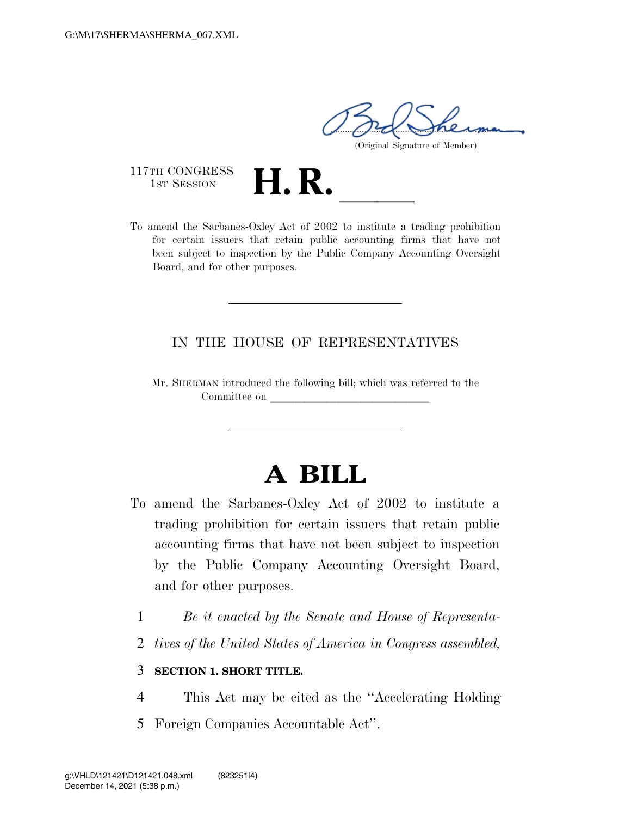$1.100$  merma

(Original Signature of Member)

117TH CONGRESS<br>1st Session

117TH CONGRESS<br>1st SESSION **H. R.** <u>Internative a trading</u> prohibition<br>To amend the Sarbanes-Oxley Act of 2002 to institute a trading prohibition for certain issuers that retain public accounting firms that have not been subject to inspection by the Public Company Accounting Oversight Board, and for other purposes.

## IN THE HOUSE OF REPRESENTATIVES

Mr. SHERMAN introduced the following bill; which was referred to the Committee on

## **A BILL**

- To amend the Sarbanes-Oxley Act of 2002 to institute a trading prohibition for certain issuers that retain public accounting firms that have not been subject to inspection by the Public Company Accounting Oversight Board, and for other purposes.
	- 1 *Be it enacted by the Senate and House of Representa-*
	- 2 *tives of the United States of America in Congress assembled,*

## 3 **SECTION 1. SHORT TITLE.**

- 4 This Act may be cited as the ''Accelerating Holding
- 5 Foreign Companies Accountable Act''.